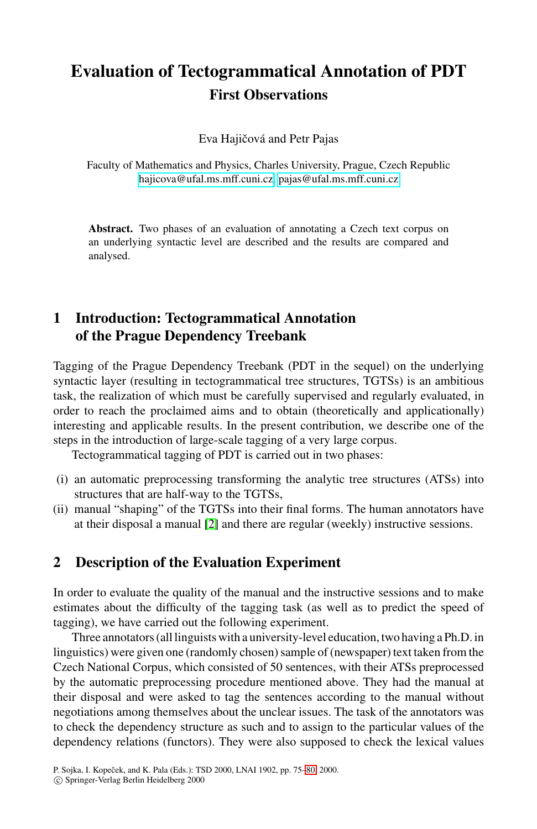# **Evaluation of Tectogrammatical Annotation of PDT [First Observ](mailto: pajas@ufal.ms.mff.cuni.cz)ations**

Eva Hajičová and Petr Pajas

Faculty of Mathematics and Physics, Charles University, Prague, Czech Republic hajicova@ufal.ms.mff.cuni.cz, pajas@ufal.ms.mff.cuni.cz

**Abstract.** Two phases of an evaluation of annotating a Czech text corpus on an underlying syntactic level are described and the results are compared and analysed.

## **1 Introduction: Tectogrammatical Annotation of the Prague Dependency Treebank**

Tagging of the Prague Dependency Treebank (PDT in the sequel) on the underlying syntactic layer (resulting in tectogrammatical tree structures, TGTSs) is an ambitious task, the realization of which must be carefully supervised and regularly evaluated, in order to reach the proclaimed aims and to obtain (theoretically and applicationally) interesting and applicable results. In the present contribution, we describe one of the steps in [th](#page-5-0)e introduction of large-scale tagging of a very large corpus.

Tectogrammatical tagging of PDT is carried out in two phases:

- (i) an automatic preprocessing transforming the analytic tree structures (ATSs) into structures that are half-way to the TGTSs,
- (ii) manual "shaping" of the TGTSs into their final forms. The human annotators have at their disposal a manual [2] and there are regular (weekly) instructive sessions.

#### **2 Description of the Evaluation Experiment**

In order to evaluate the quality of the manual and the instructive sessions and to make estimates about the difficulty of the tagging task (as well as to predict the speed of tagging), we have carried out the following experiment.

Three annotators (all linguists with a university-level education, two having a Ph.D. in linguistics) were given one (randomly chosen) sample of (newspaper) text taken from the Czech National Corpus, which consisted of 50 sentences, with their ATSs preprocessed by the automatic preprocessing procedure mentioned above. They had the manual at their disposal and were as[ked](#page-5-0) to tag the sentences according to the manual without negotiations among themselves about the unclear issues. The task of the annotators was to check the dependency structure as such and to assign to the particular values of the dependency relations (functors). They were also supposed to check the lexical values

P. Sojka, I. Kopeček, and K. Pala (Eds.): TSD 2000, LNAI 1902, pp. 75-80, 2000. c Springer-Verlag Berlin Heidelberg 2000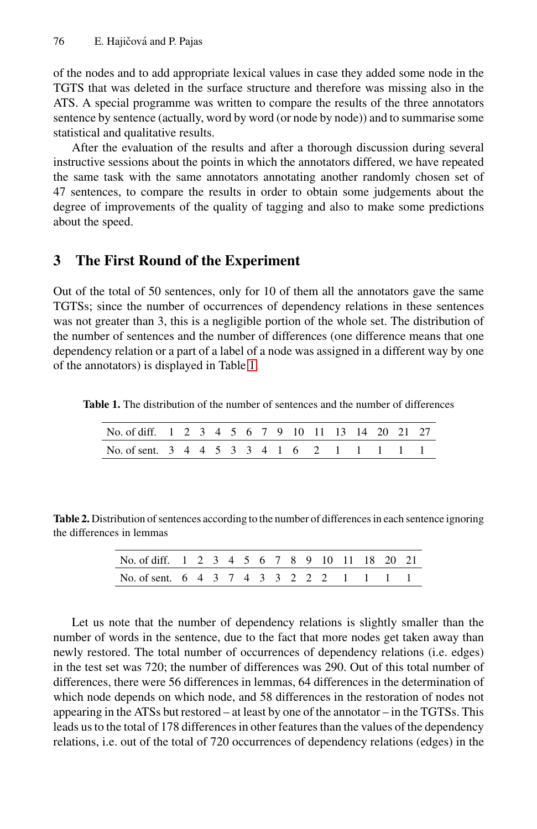<span id="page-1-0"></span>of the nodes and to add appropriate lexical values in case they added some node in the TGTS that was deleted in the surface structure and therefore was missing also in the ATS. A special programme was written to compare the results of the three annotators sentence by sentence (actually, word by word (or node by node)) and to summarise some statistical and qualitative results.

After the evaluation of the results and after a thorough discussion during several instructive sessions about the points in which the annotators differed, we have repeated the same task with the same annotators annotating another randomly chosen set of 47 sentences, to compare the results in order to obtain some judgements about the degree of improvements of the quality of tagging and also to make some predictions about the speed.

## **3 The First Round of the Experiment**

Out of the total of 50 sentences, only for 10 of them all the annotators gave the same TGTSs; since the number of occurrences of dependency relations in these sentences was not greater than 3, this is a negligible portion of the whole set. The distribution of the number of sentences and the number of differences (one difference means that one dependency relation or a part of a label of a node was assigned in a different way by one of the annotators) is displayed in Table 1.

**Table 1.** The distribution of the number of sentences and the number of differences

| No. of diff. 1 2 3 4 5 6 7 9 10 11 13 14 20 21 27 |  |  |  |  |  |  |  |  |
|---------------------------------------------------|--|--|--|--|--|--|--|--|
| No. of sent. 3 4 4 5 3 3 4 1 6 2 1 1 1 1 1        |  |  |  |  |  |  |  |  |

**Table 2.** Distribution of sentences according to the number of differences in each sentence ignoring the differences in lemmas

| No. of diff. 1 2 3 4 5 6 7 8 9 10 11 18 20 21 |  |  |  |  |  |  |  |
|-----------------------------------------------|--|--|--|--|--|--|--|
| No. of sent. 6 4 3 7 4 3 3 2 2 2 1 1 1 1      |  |  |  |  |  |  |  |

Let us note that the number of dependency relations is slightly smaller than the number of words in the sentence, due to the fact that more nodes get taken away than newly restored. The total number of occurrences of dependency relations (i.e. edges) in the test set was 720; the number of differences was 290. Out of this total number of differences, there were 56 differences in lemmas, 64 differences in the determination of which node depends on which node, and 58 differences in the restoration of nodes not appearing in the ATSs but restored – at least by one of the annotator – in the TGTSs. This leads us to the total of 178 differences in other features than the values of the dependency relations, i.e. out of the total of 720 occurrences of dependency relations (edges) in the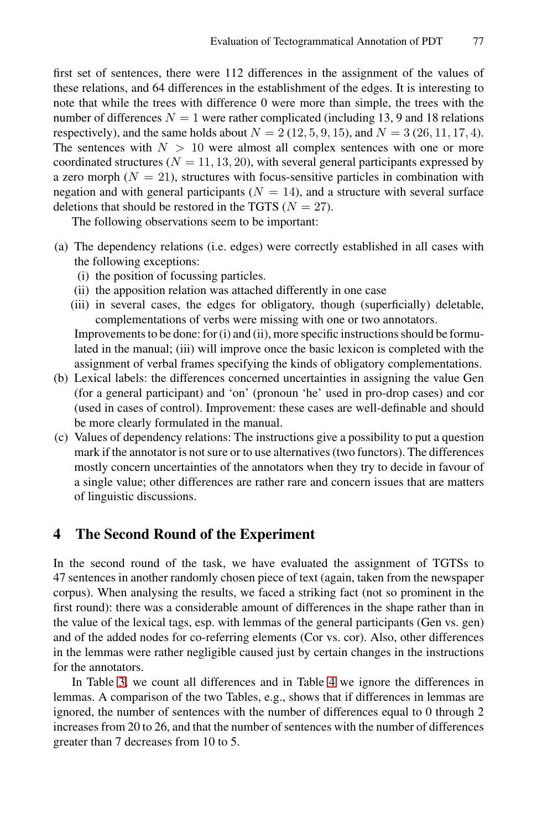first set of sentences, there were 112 differences in the assignment of the values of these relations, and 64 differences in the establishment of the edges. It is interesting to note that while the trees with difference 0 were more than simple, the trees with the number of differences  $N = 1$  were rather complicated (including 13, 9 and 18 relations respectively), and the same holds about  $N = 2 (12, 5, 9, 15)$ , and  $N = 3 (26, 11, 17, 4)$ . The sentences with  $N > 10$  were almost all complex sentences with one or more coordinated structures ( $N = 11, 13, 20$ ), with several general participants expressed by a zero morph  $(N = 21)$ , structures with focus-sensitive particles in combination with negation and with general participants ( $N = 14$ ), and a structure with several surface deletions that should be restored in the TGTS ( $N = 27$ ).

The following observations seem to be important:

- (a) The dependency relations (i.e. edges) were correctly established in all cases with the following exceptions:
	- (i) the position of focussing particles.
	- (ii) the apposition relation was attached differently in one case
	- (iii) in several cases, the edges for obligatory, though (superficially) deletable, complementations of verbs were missing with one or two annotators. Improvements to be done: for (i) and (ii), more specific instructions should be formulated in the manual; (iii) will improve once the basic lexicon is completed with the
- assignment of verbal frames specifying the kinds of obligatory complementations. (b) Lexical labels: the differences concerned uncertainties in assigning the value Gen (for a general participant) and 'on' (pronoun 'he' used in pro-drop cases) and cor (used in cases of control). Improvement: these cases are well-definable and should be more clearly formulated in the manual.
- (c) Values of dependency relations: The instructions give a possibility to put a question mark if the annotator is not sure or to use alternatives (two functors). The differences mostly concern uncertainties of the annotators when they try to decide in favour of a single value; other differences are rather rare and concern issues that are matters of linguistic discussions.

#### **4 The Second Round of the Experiment**

In the second round of the task, we have evaluated the assignment of TGTSs to 47 sentences in another randomly chosen piece of text (again, taken from the newspaper corpus). When analysing the results, we faced a striking fact (not so prominent in the first round): there was a considerable amount of differences in the shape rather than in the value of the lexical tags, esp. with lemmas of the general participants (Gen vs. gen) and of the added nodes for co-referring elements (Cor vs. cor). Also, other differences in the lemmas were rather negligible caused just by certain changes in the instructions for the annotators.

In Table [3,](#page-3-0) we count all differences and in Table [4](#page-3-0) we ignore the differences in lemmas. A comparison of the two Tables, e.g., shows that if differences in lemmas are ignored, the number of sentences with the number of differences equal to 0 through 2 increases from 20 to 26, and that the number of sentences with the number of differences greater than 7 decreases from 10 to 5.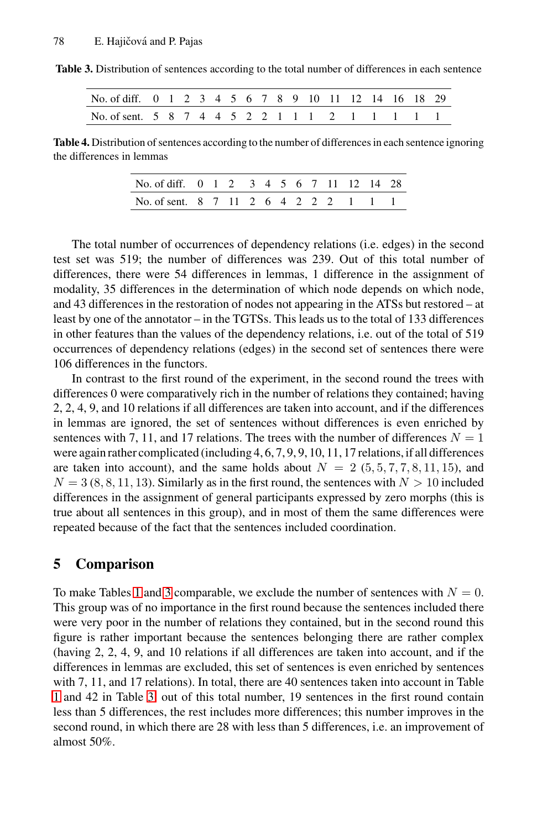| No. of diff. 0 1 2 3 4 5 6 7 8 9 10 11 12 14 16 18 29 |  |  |  |  |  |  |  |  |  |
|-------------------------------------------------------|--|--|--|--|--|--|--|--|--|
| No. of sent. 5 8 7 4 4 5 2 2 1 1 1 2 1 1 1 1 1        |  |  |  |  |  |  |  |  |  |

<span id="page-3-0"></span>**Table 3.** Distribution of sentences according to the total number of differences in each sentence

**Table 4.** Distribution of sentences according to the number of differences in each sentence ignoring the differences in lemmas

| No. of diff. 0 1 2 3 4 5 6 7 11 12 14 28 |  |  |  |  |  |  |
|------------------------------------------|--|--|--|--|--|--|
| No. of sent. 8 7 11 2 6 4 2 2 2 1 1      |  |  |  |  |  |  |

The total number of occurrences of dependency relations (i.e. edges) in the second test set was 519; the number of differences was 239. Out of this total number of differences, there were 54 differences in lemmas, 1 difference in the assignment of modality, 35 differences in the determination of which node depends on which node, and 43 differences in the restoration of nodes not appearing in the ATSs but restored – at least by one of the annotator – in the TGTSs. This leads us to the total of 133 differences in other features than the values of the dependency relations, i.e. out of the total of 519 occurrences of dependency relations (edges) in the second set of sentences there were 106 differences in the functors.

In contrast to the first round of the experiment, in the second round the trees with differences 0 were comparatively rich in the number of relations they contained; having 2, 2, 4, 9, and 10 relations if all differences are taken into account, and if the differences in lemmas are ignored, the set of sentences without differences is even enriched by sentences with 7, 11, and 17 relations. The trees with the number of differences  $N = 1$ were again rather complicated (including 4, 6, 7, 9, 9, 10, 11, 17 relations, if all differences are taken into account), and the same holds about  $N = 2$  (5, 5, 7, 7, 8, 11, 15), and  $N = 3 (8, 8, 11, 13)$ . Similarly as in the first round, the sentences with  $N > 10$  included differences in the assignment of general participants expressed by zero morphs (this is true about all sentences in this group), and in most of them the same differences were repeated because of the fact that the sentences included coordination.

#### **5 Comparison**

To make Tables [1](#page-1-0) and 3 comparable, we exclude the number of sentences with  $N = 0$ . This group was of no importance in the first round because the sentences included there were very poor in the number of relations they contained, but in the second round this figure is rather important because the sentences belonging there are rather complex (having 2, 2, 4, 9, and 10 relations if all differences are taken into account, and if the differences in lemmas are excluded, this set of sentences is even enriched by sentences with 7, 11, and 17 relations). In total, there are 40 sentences taken into account in Table [1](#page-1-0) and 42 in Table 3; out of this total number, 19 sentences in the first round contain less than 5 differences, the rest includes more differences; this number improves in the second round, in which there are 28 with less than 5 differences, i.e. an improvement of almost 50%.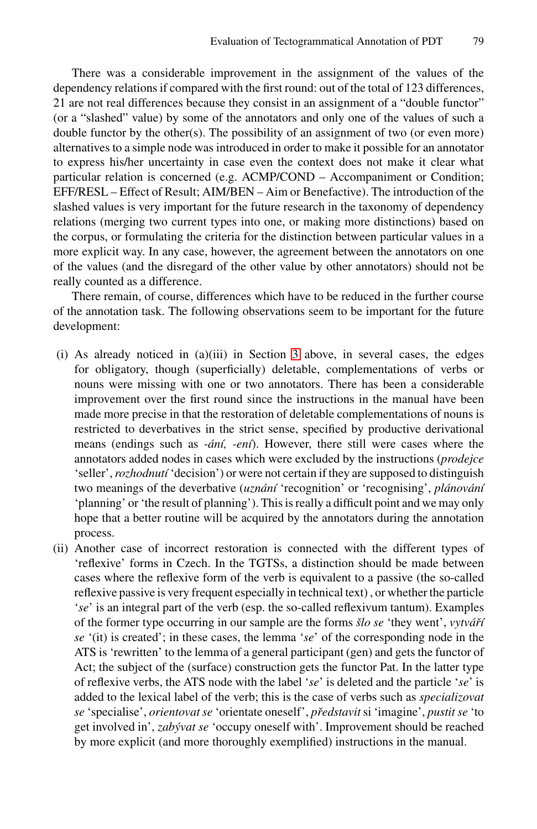There was a considerable improvement in the assignment of the values of the dependency relations if compared with the first round: out of the total of 123 differences, 21 are not real differences because they consist in an assignment of a "double functor" (or a "slashed" value) by some of the annotators and only one of the values of such a double functor by the other(s). The possibility of an assignment of two (or even more) alternatives to a simple node was introduced in order to make it possible for an annotator to express his/her uncertainty in case even the context does not make it clear what particular relation is concerned (e.g. ACMP/COND – Accompaniment or Condition; EFF/RESL – Effect of Result; AIM/BEN – Aim or Benefactive). The introduction of the slashed values is very important for the future research in the taxonomy of dependency relations (merging two current types into one, or making more distinctions) based on the corpus, or formulating the criteria for the distinction between particular values in a more explicit way. In any case, however, the agreement between the annotators on one of the values (and the disregard of the other value by other annotators) should not be really counted as a difference.

There remain, of course, differences which have to be reduced in the further course of the annotation task. The following observations seem to be important for the future development:

- (i) As already noticed in (a)(iii) in Section [3](#page-1-0) above, in several cases, the edges for obligatory, though (superficially) deletable, complementations of verbs or nouns were missing with one or two annotators. There has been a considerable improvement over the first round since the instructions in the manual have been made more precise in that the restoration of deletable complementations of nouns is restricted to deverbatives in the strict sense, specified by productive derivational means (endings such as *-ání*, *-ení*). However, there still were cases where the annotators added nodes in cases which were excluded by the instructions (*prodejce* 'seller', *rozhodnutí* 'decision') or were not certain if they are supposed to distinguish two meanings of the deverbative (*uznání* 'recognition' or 'recognising', *plánování* 'planning' or 'the result of planning'). This is really a difficult point and we may only hope that a better routine will be acquired by the annotators during the annotation process.
- (ii) Another case of incorrect restoration is connected with the different types of 'reflexive' forms in Czech. In the TGTSs, a distinction should be made between cases where the reflexive form of the verb is equivalent to a passive (the so-called reflexive passive is very frequent especially in technical text) , or whether the particle '*se*' is an integral part of the verb (esp. the so-called reflexivum tantum). Examples of the former type occurring in our sample are the forms *slo se ˇ* 'they went', *vytva´rˇ´ı se* '(it) is created'; in these cases, the lemma '*se*' of the corresponding node in the ATS is 'rewritten' to the lemma of a general participant (gen) and gets the functor of Act; the subject of the (surface) construction gets the functor Pat. In the latter type of reflexive verbs, the ATS node with the label '*se*' is deleted and the particle '*se*' is added to the lexical label of the verb; this is the case of verbs such as *specializovat se* 'specialise', *orientovat se* 'orientate oneself', *predstavit ˇ* si 'imagine', *pustit se* 'to get involved in', *zabyvat se ´* 'occupy oneself with'. Improvement should be reached by more explicit (and more thoroughly exemplified) instructions in the manual.